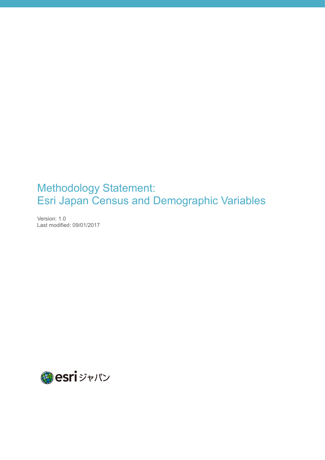# Methodology Statement: Esri Japan Census and Demographic Variables

Version: 1.0 Last modified: 09/01/2017

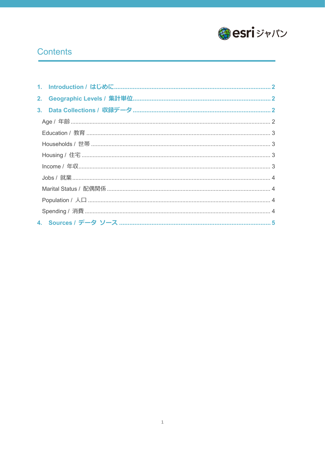

## **Contents**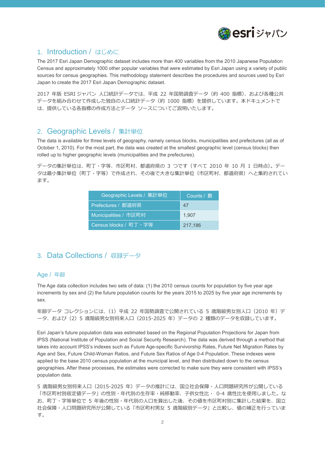

## <span id="page-2-0"></span>1. Introduction / はじめに

The 2017 Esri Japan Demographic dataset includes more than 400 variables from the 2010 Japanese Population Census and approximately 1000 other popular variables that were estimated by Esri Japan using a variety of public sources for census geographies. This methodology statement describes the procedures and sources used by Esri Japan to create the 2017 Esri Japan Demographic dataset.

2017 年版 ESRI ジャパン 人口統計データでは、平成 22 年国勢調査データ(約 400 指標)、および各種公共 データを組み合わせて作成した独自の人口統計データ(約 1000 指標)を提供しています。本ドキュメントで は、提供している各指標の作成方法とデータ ソースについてご説明いたします。

### <span id="page-2-1"></span>2. Geographic Levels / 集計単位

The data is available for three levels of geography, namely census blocks, municipalities and prefectures (all as of October 1, 2010). For the most part, the data was created at the smallest geographic level (census blocks) then rolled up to higher geographic levels (municipalities and the prefectures).

データの集計単位は、町丁・字等、市区町村、都道府県の 3 つです(すべて 2010 年 10 月 1 日時点)。デー タは最小集計単位(町丁・字等)で作成され、その後で大きな集計単位(市区町村、都道府県)へと集約されてい ます。

| Geographic Levels / 集計単位 | Counts / 数 |
|--------------------------|------------|
| Prefectures / 都道府県       | 47         |
| Municipalities / 市区町村    | 1.907      |
| Census blocks / 町丁·字等    | 217,186    |

## <span id="page-2-2"></span>3. Data Collections / 収録データ

#### <span id="page-2-3"></span>Age / 年齢

The Age data collection includes two sets of data: (1) the 2010 census counts for population by five year age increments by sex and (2) the future population counts for the years 2015 to 2025 by five year age increments by sex.

```
年齢データ コレクションには、(1)平成 22 年国勢調査で公開されている 5 歳階級男女別人口 (2010 年) デ
ータ、および(2)5 歳階級男女別将来人口(2015-2025 年)データの 2 種類のデータを収録しています。
```
Esri Japan's future population data was estimated based on the Regional Population Projections for Japan from IPSS (National Institute of Population and Social Security Research). The data was derived through a method that takes into account IPSS's indexes such as Future Age-specific Survivorship Rates, Future Net Migration Rates by Age and Sex, Future Child-Woman Ratios, and Future Sex Ratios of Age 0-4 Population. These indexes were applied to the base 2010 census population at the municipal level, and then distributed down to the census geographies. After these processes, the estimates were corrected to make sure they were consistent with IPSS's population data.

5 歳階級男女別将来人口(2015-2025 年)データの推計には、国立社会保障・人口問題研究所が公開している 「市区町村別仮定値データ」の性別・年代別の生存率・純移動率、子供女性比・ 0-4 歳性比を使用しました。な お、町丁・字等単位で 5 年後の性別・年代別の人口を算出した後、その値を市区町村別に集計した結果を、国立 社会保障・人口問題研究所が公開している「市区町村男女 5 歳階級別データ」と比較し、値の補正を行っていま す。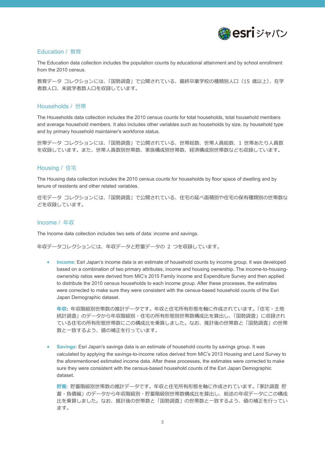

#### <span id="page-3-0"></span>Education / 教育

The Education data collection includes the population counts by educational attainment and by school enrollment from the 2010 census.

教育データ コレクションには、「国勢調査」で公開されている、最終卒業学校の種類別人口(15 歳以上)、在学 者数人口、未就学者数人口を収録しています。

#### <span id="page-3-1"></span>Households / 世帯

The Households data collection includes the 2010 census counts for total households, total household members and average household members. It also includes other variables such as households by size, by household type and by primary household maintainer's workforce status.

世帯データ コレクションには、「国勢調査」で公開されている、世帯総数、世帯人員総数、1 世帯あたり人員数 を収録しています。また、世帯人員数別世帯数、家族構成別世帯数、経済構成別世帯数なども収録しています。

#### <span id="page-3-2"></span>Housing / 住宅

The Housing data collection includes the 2010 census counts for households by floor space of dwelling and by tenure of residents and other related variables.

住宅データ コレクションには、「国勢調査」で公開されている、住宅の延べ面積別や住宅の保有種類別の世帯数な どを収録しています。

#### <span id="page-3-3"></span>Income / 年収

The Income data collection includes two sets of data: income and savings.

年収データコレクションには、年収データと貯蓄データの 2 つを収録しています。

• **Income**: Esri Japan's income data is an estimate of household counts by income group. It was developed based on a combination of two primary attributes, income and housing ownership. The income-to-housingownership ratios were derived from MIC's 2015 Family Income and Expenditure Survey and then applied to distribute the 2010 census households to each income group. After these processes, the estimates were corrected to make sure they were consistent with the census-based household counts of the Esri Japan Demographic dataset.

**年収:** 年収階級別世帯数の推計データです。年収と住宅所有形態を軸に作成されています。「住宅・⼟地 統計調査」のデータから年収階級別・住宅の所有形態別世帯数構成比を算出し、「国勢調査」に収録され ている住宅の所有形態世帯数にこの構成比を乗算しました。なお、推計後の世帯数と「国勢調査」の世帯 数と一致するよう、値の補正を行っています。

• **Savings**: Esri Japan's savings data is an estimate of household counts by savings group. It was calculated by applying the savings-to-income ratios derived from MIC's 2013 Housing and Land Survey to the aforementioned estimated income data. After these processes, the estimates were corrected to make sure they were consistent with the census-based household counts of the Esri Japan Demographic dataset.

**貯蓄**: 貯蓄階級別世帯数の推計データです。年収と住宅所有形態を軸に作成されています。「家計調査 貯 蓄・負債編」のデータから年収階級別・貯蓄階級別世帯数構成比を算出し、前述の年収データにこの構成 比を乗算しました。なお、推計後の世帯数と「国勢調査」の世帯数と一致するよう、値の補正を行ってい ます。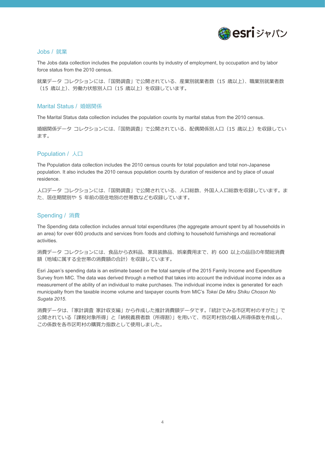

#### <span id="page-4-0"></span>Jobs / 就業

The Jobs data collection includes the population counts by industry of employment, by occupation and by labor force status from the 2010 census.

就業データ コレクションには、「国勢調査」で公開されている、産業別就業者数(15 歳以上)、職業別就業者数 (15 歳以上)、労働力状態別人口(15 歳以上)を収録しています。

#### <span id="page-4-1"></span>Marital Status / 婚姻関係

The Marital Status data collection includes the population counts by marital status from the 2010 census.

婚姻関係データ コレクションには、「国勢調査」で公開されている、配偶関係別人口 (15 歳以上) を収録してい ます。

#### <span id="page-4-2"></span>Population / 人口

The Population data collection includes the 2010 census counts for total population and total non-Japanese population. It also includes the 2010 census population counts by duration of residence and by place of usual residence.

人口データ コレクションには、「国勢調査」で公開されている、人口総数、外国人人口総数を収録しています。ま た、居住期間別や 5 年前の居住地別の世帯数なども収録しています。

#### <span id="page-4-3"></span>Spending / 消費

The Spending data collection includes annual total expenditures (the aggregate amount spent by all households in an area) for over 600 products and services from foods and clothing to household furnishings and recreational activities.

消費データ コレクションには、食品から衣料品、家具装飾品、娯楽費用まで、約 600 以上の品目の年間総消費 額(地域に属する全世帯の消費額の合計)を収録しています。

Esri Japan's spending data is an estimate based on the total sample of the 2015 Family Income and Expenditure Survey from MIC. The data was derived through a method that takes into account the individual income index as a measurement of the ability of an individual to make purchases. The individual income index is generated for each municipality from the taxable income volume and taxpayer counts from MIC's *Tokei De Miru Shiku Choson No Sugata 2015*.

消費データは、「家計調査 家計収支編」から作成した推計消費額データです。「統計でみる市区町村のすがた」で 公開されている「課税対象所得」と「納税義務者数(所得割)」を用いて、市区町村別の個人所得係数を作成し、 この係数を各市区町村の購買力指数として使用しました。